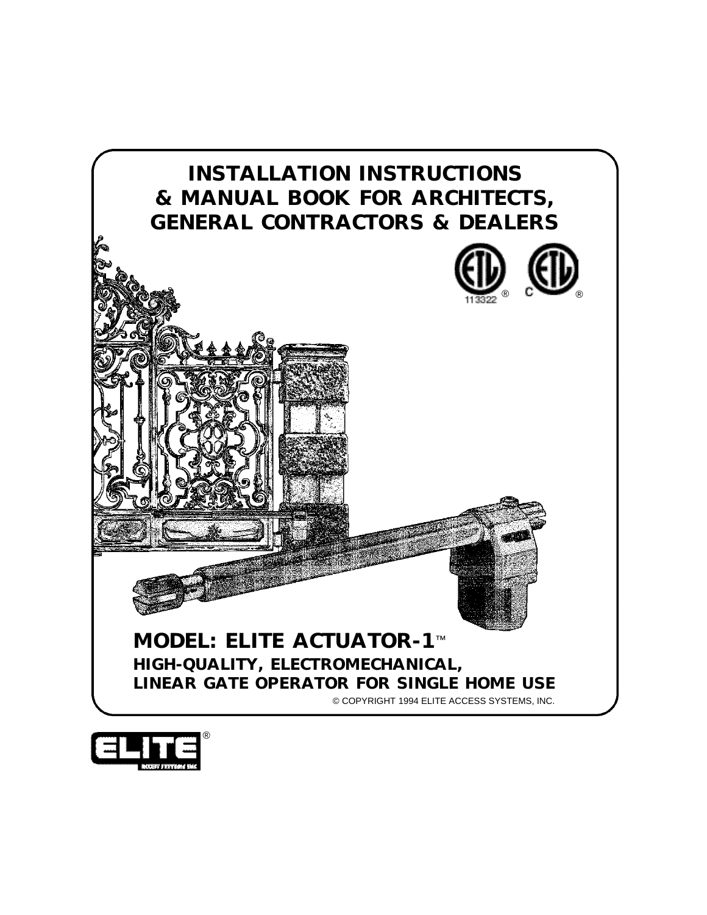

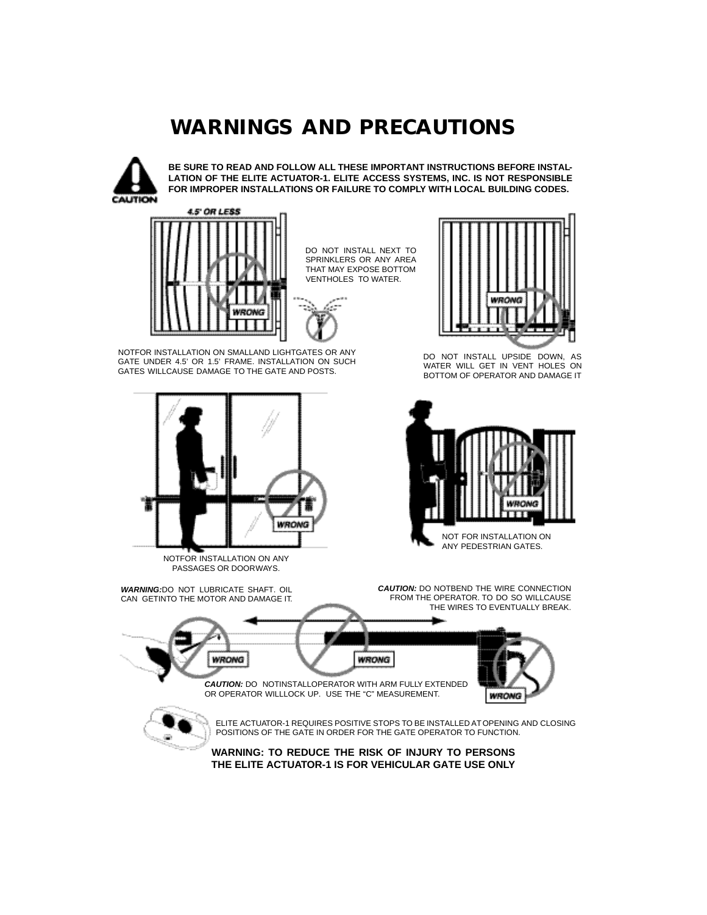# *WARNINGS AND PRECAUTIONS*



**BE SURE TO READ AND FOLLOW ALL THESE IMPORTANT INSTRUCTIONS BEFORE INSTAL-LATION OF THE ELITE ACTUATOR-1. ELITE ACCESS SYSTEMS, INC. IS NOT RESPONSIBLE FOR IMPROPER INSTALLATIONS OR FAILURE TO COMPLY WITH LOCAL BUILDING CODES.**



DO NOT INSTALL NEXT TO SPRINKLERS OR ANY AREA THAT MAY EXPOSE BOTTOM VENTHOLES TO WATER.



NOTFOR INSTALLATION ON SMALLAND LIGHTGATES OR ANY GATE UNDER 4.5' OR 1.5' FRAME. INSTALLATION ON SUCH GATES WILLCAUSE DAMAGE TO THE GATE AND POSTS.



NOTFOR INSTALLATION ON ANY PASSAGES OR DOORWAYS.

*WARNING:*DO NOT LUBRICATE SHAFT. OIL CAN GETINTO THE MOTOR AND DAMAGE IT.



DO NOT INSTALL UPSIDE DOWN, AS WATER WILL GET IN VENT HOLES ON BOTTOM OF OPERATOR AND DAMAGE IT



*CAUTION:* DO NOTBEND THE WIRE CONNECTION FROM THE OPERATOR. TO DO SO WILLCAUSE THE WIRES TO EVENTUALLY BREAK.



ELITE ACTUATOR-1 REQUIRES POSITIVE STOPS TO BE INSTALLED ATOPENING AND CLOSING



POSITIONS OF THE GATE IN ORDER FOR THE GATE OPERATOR TO FUNCTION.

**WARNING: TO REDUCE THE RISK OF INJURY TO PERSONS THE ELITE ACTUATOR-1 IS FOR VEHICULAR GATE USE ONLY**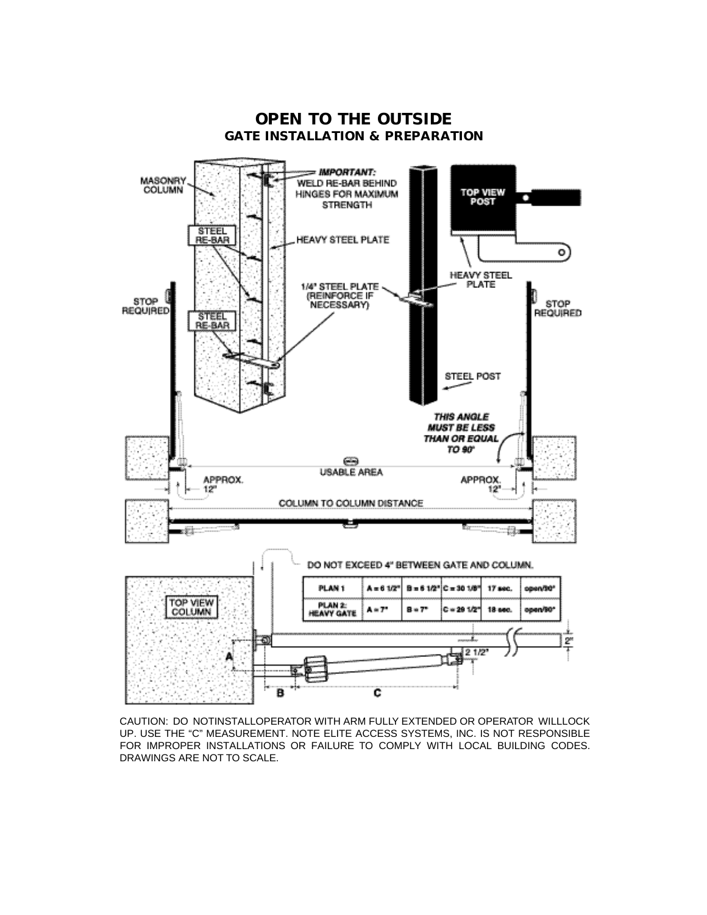

CAUTION: DO NOTINSTALLOPERATOR WITH ARM FULLY EXTENDED OR OPERATOR WILLLOCK UP. USE THE "C" MEASUREMENT. NOTE ELITE ACCESS SYSTEMS, INC. IS NOT RESPONSIBLE FOR IMPROPER INSTALLATIONS OR FAILURE TO COMPLY WITH LOCAL BUILDING CODES. DRAWINGS ARE NOT TO SCALE.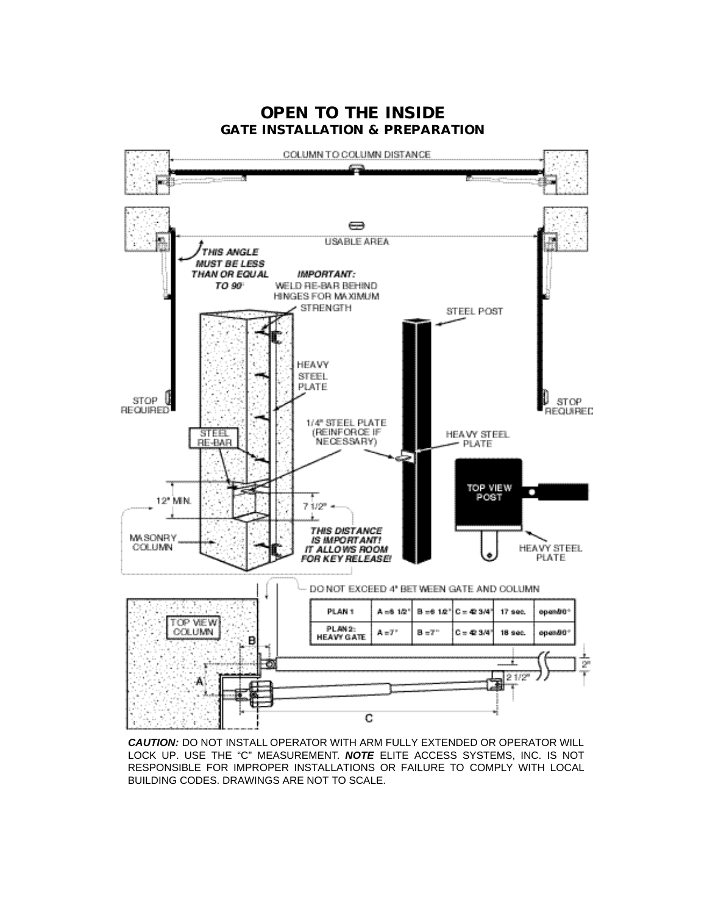

*CAUTION:* DO NOT INSTALL OPERATOR WITH ARM FULLY EXTENDED OR OPERATOR WILL LOCK UP. USE THE "C" MEASUREMENT. *NOTE* ELITE ACCESS SYSTEMS, INC. IS NOT RESPONSIBLE FOR IMPROPER INSTALLATIONS OR FAILURE TO COMPLY WITH LOCAL BUILDING CODES. DRAWINGS ARE NOT TO SCALE.

#### *OPEN TO THE INSIDE GATE INSTALLATION & PREPARATION*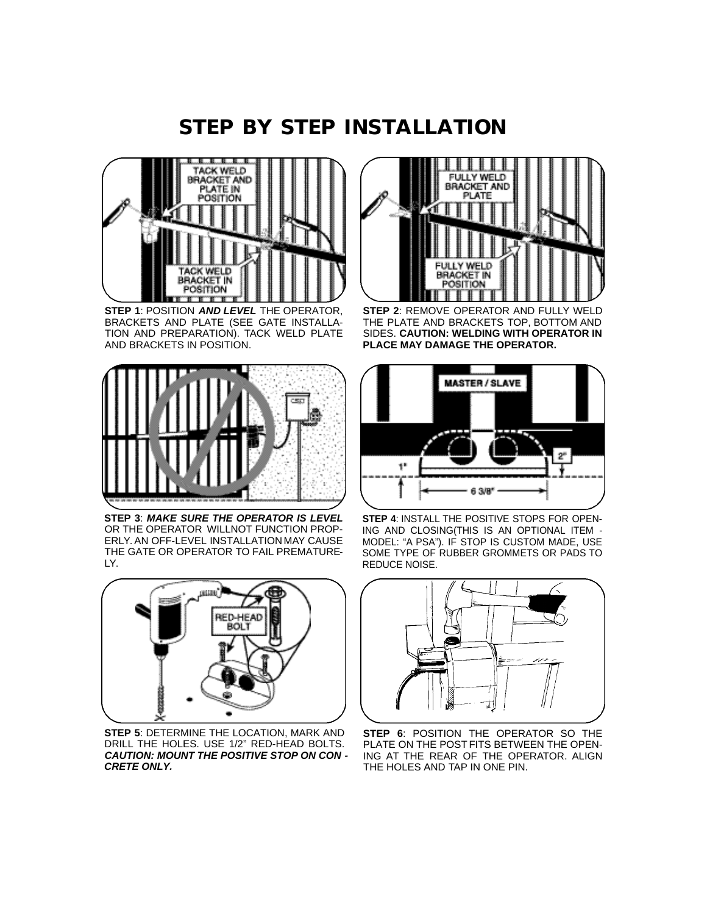## *STEP BY STEP INSTALLATION*



**STEP 1**: POSITION *AND LEVEL* THE OPERATOR, BRACKETS AND PLATE (SEE GATE INSTALLA-TION AND PREPARATION). TACK WELD PLATE AND BRACKETS IN POSITION.



**STEP 3**: *MAKE SURE THE OPERATOR IS LEVEL* OR THE OPERATOR WILLNOT FUNCTION PROP-ERLY. AN OFF-LEVEL INSTALLATION MAY CAUSE THE GATE OR OPERATOR TO FAIL PREMATURE-LY.



**STEP 5**: DETERMINE THE LOCATION, MARK AND DRILL THE HOLES. USE 1/2" RED-HEAD BOLTS. *CAUTION: MOUNT THE POSITIVE STOP ON CON - CRETE ONLY.*



**STEP 2**: REMOVE OPERATOR AND FULLY WELD THE PLATE AND BRACKETS TOP, BOTTOM AND SIDES. **CAUTION: WELDING WITH OPERATOR IN PLACE MAY DAMAGE THE OPERATOR.**



**STEP 4**: INSTALL THE POSITIVE STOPS FOR OPEN-ING AND CLOSING(THIS IS AN OPTIONAL ITEM - MODEL: "A PSA"). IF STOP IS CUSTOM MADE, USE SOME TYPE OF RUBBER GROMMETS OR PADS TO REDUCE NOISE.



**STEP 6: POSITION THE OPERATOR SO THE** PLATE ON THE POST FITS BETWEEN THE OPEN-ING AT THE REAR OF THE OPERATOR. ALIGN THE HOLES AND TAP IN ONE PIN.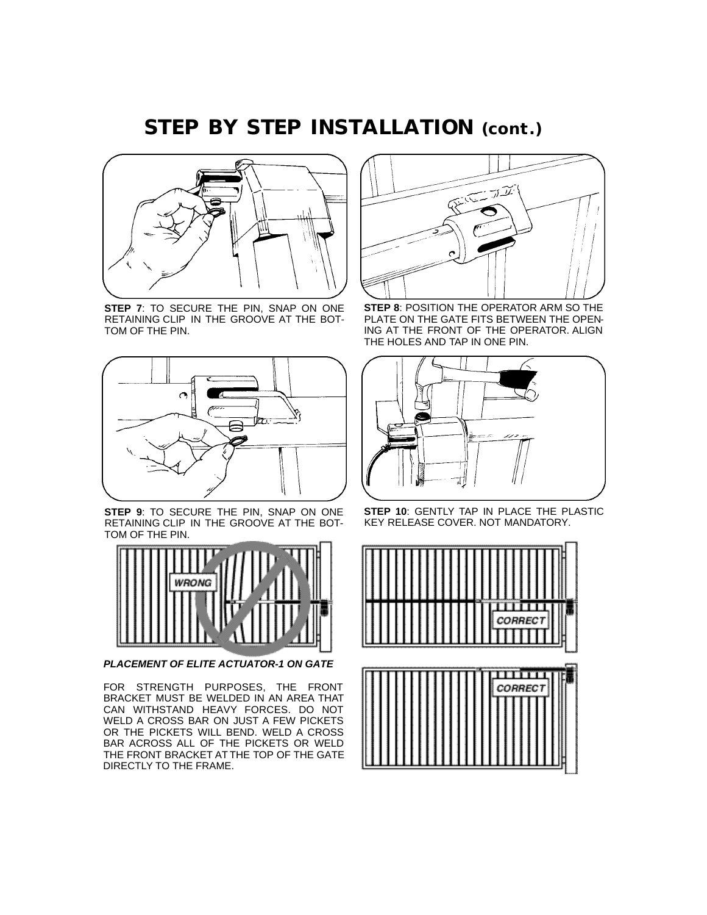## *STEP BY STEP INSTALLATION (cont.)*



**STEP 7**: TO SECURE THE PIN, SNAP ON ONE RETAINING CLIP IN THE GROOVE AT THE BOT-TOM OF THE PIN.



**STEP 9**: TO SECURE THE PIN, SNAP ON ONE RETAINING CLIP IN THE GROOVE AT THE BOT-TOM OF THE PIN.



*PLACEMENT OF ELITE ACTUATOR-1 ON GATE*

FOR STRENGTH PURPOSES, THE FRONT BRACKET MUST BE WELDED IN AN AREA THAT CAN WITHSTAND HEAVY FORCES. DO NOT WELD A CROSS BAR ON JUST A FEW PICKETS OR THE PICKETS WILL BEND. WELD A CROSS BAR ACROSS ALL OF THE PICKETS OR WELD THE FRONT BRACKET AT THE TOP OF THE GATE DIRECTLY TO THE FRAME.



**STEP 8**: POSITION THE OPERATOR ARM SO THE PLATE ON THE GATE FITS BETWEEN THE OPEN-ING AT THE FRONT OF THE OPERATOR. ALIGN THE HOLES AND TAP IN ONE PIN.



**STEP 10**: GENTLY TAP IN PLACE THE PLASTIC KEY RELEASE COVER. NOT MANDATORY.

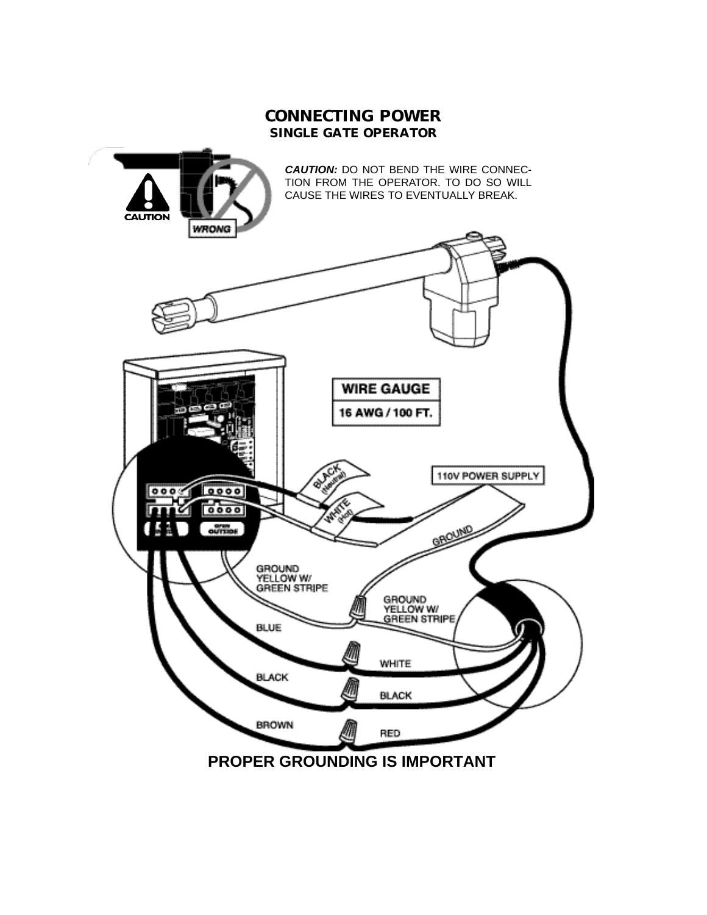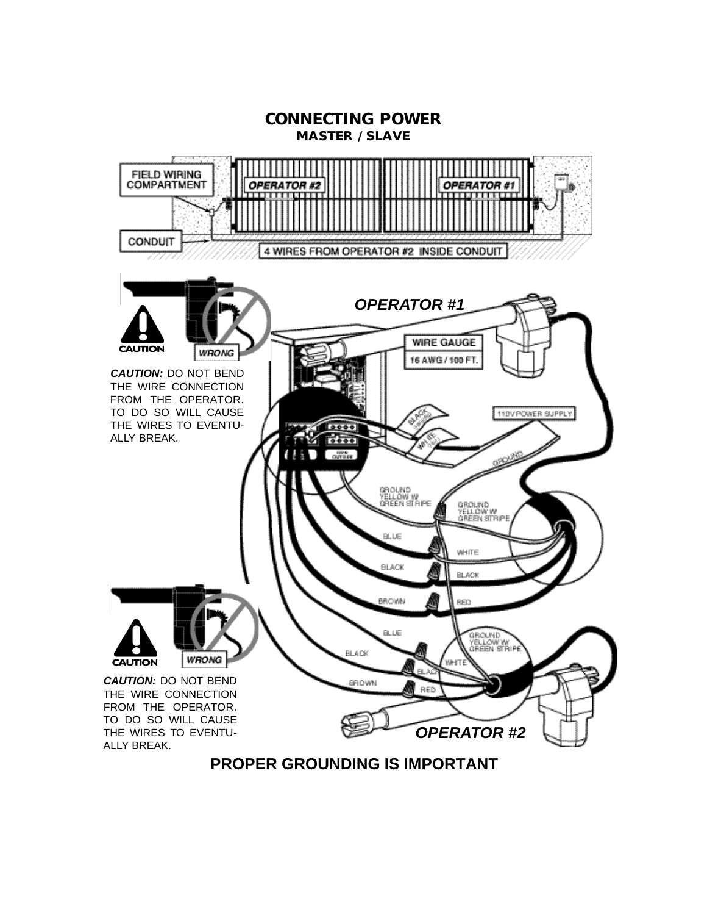

**PROPER GROUNDING IS IMPORTANT**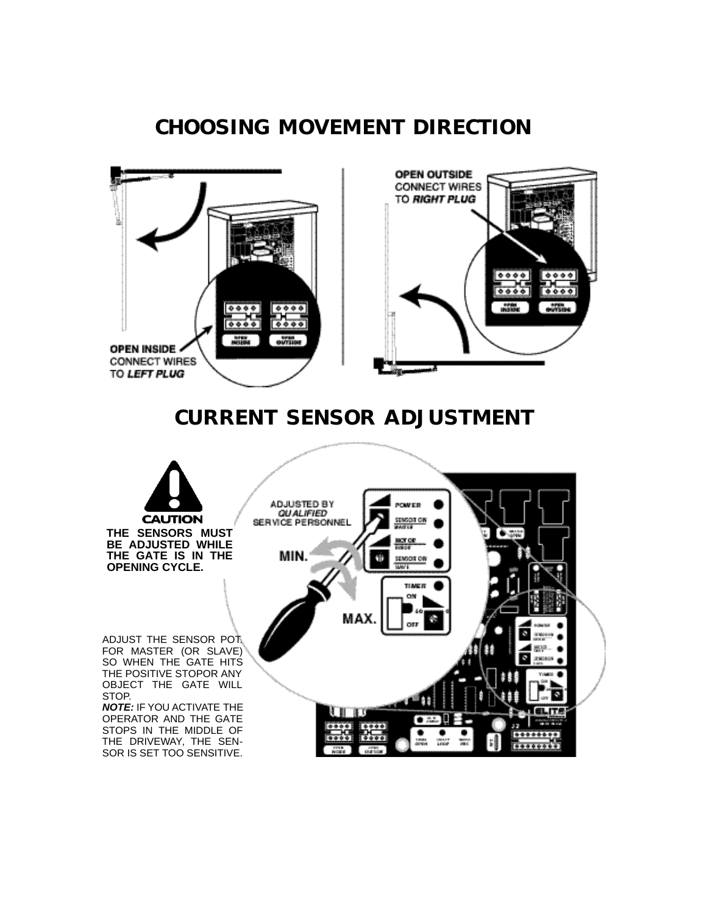# *CHOOSING MOVEMENT DIRECTION*



#### *CURRENT SENSOR ADJUSTMENT*

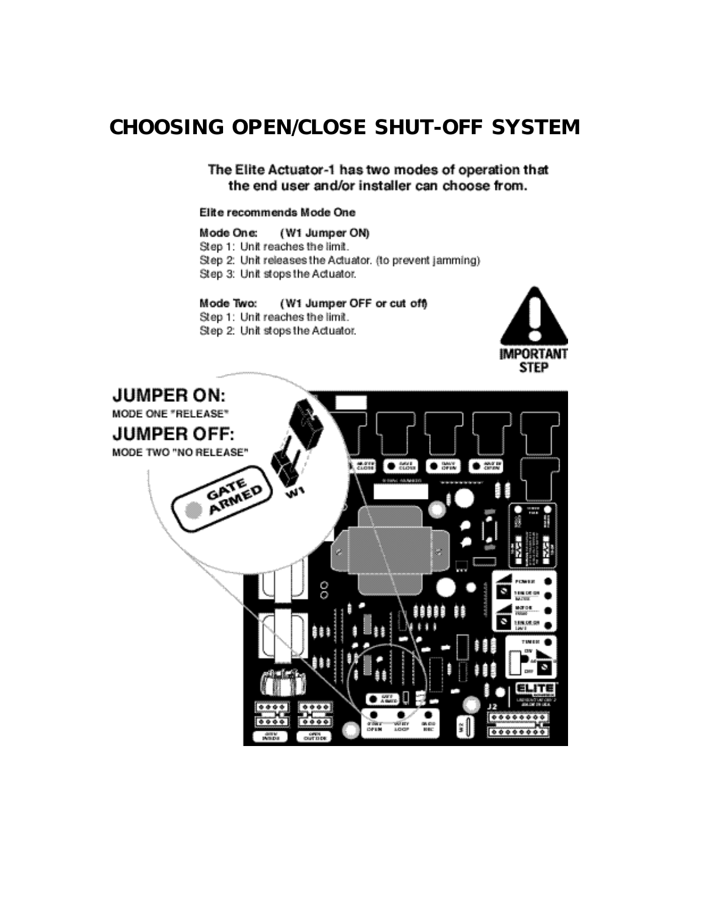# *CHOOSING OPEN/CLOSE SHUT-OFF SYSTEM*

The Elite Actuator-1 has two modes of operation that the end user and/or installer can choose from.

#### Elite recommends Mode One

Mode One: (W1 Jumper ON) Step 1: Unit reaches the limit. Step 2: Unit releases the Actuator. (to prevent jamming) Step 3: Unit stops the Actuator.

#### Mode Two: (W1 Jumper OFF or cut off) Step 1: Unit reaches the limit.





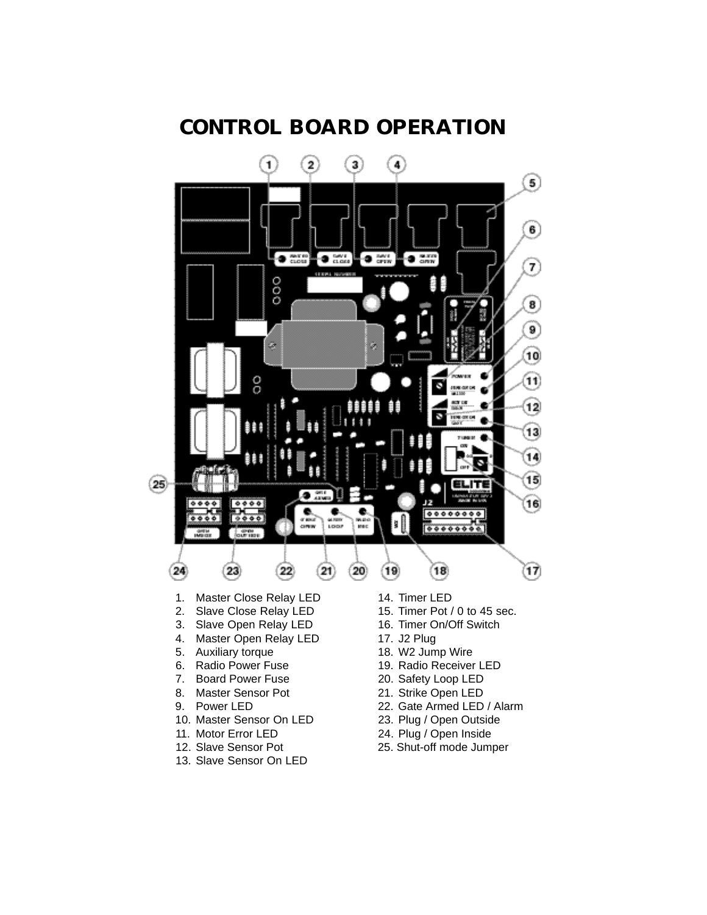

## *CONTROL BOARD OPERATION*

- 12. Slave Sensor Pot 13. Slave Sensor On LED
- 
- 25. Shut-off mode Jumper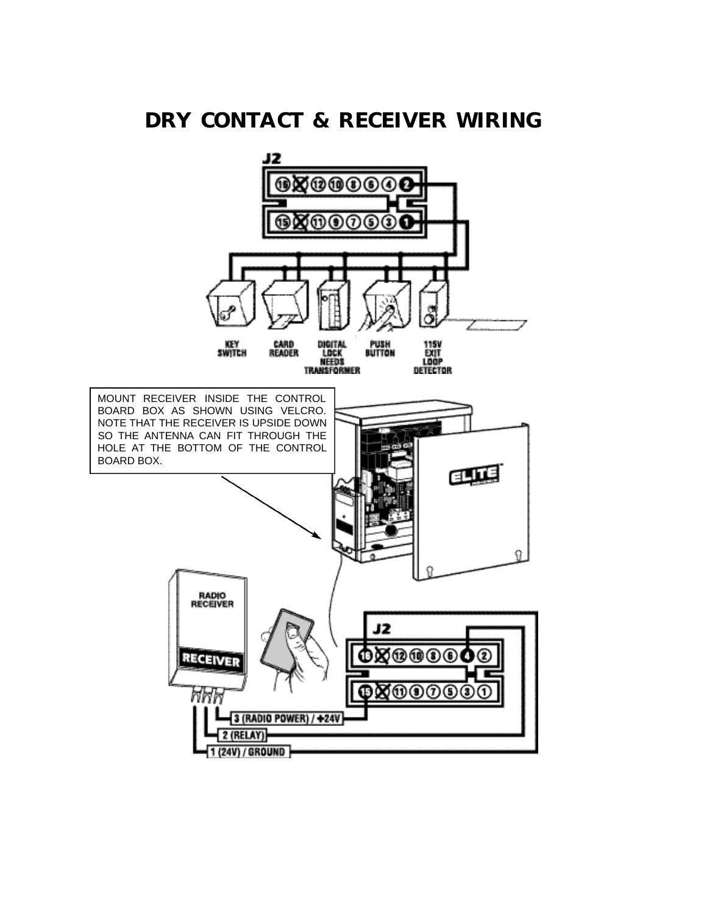# *DRY CONTACT & RECEIVER WIRING*

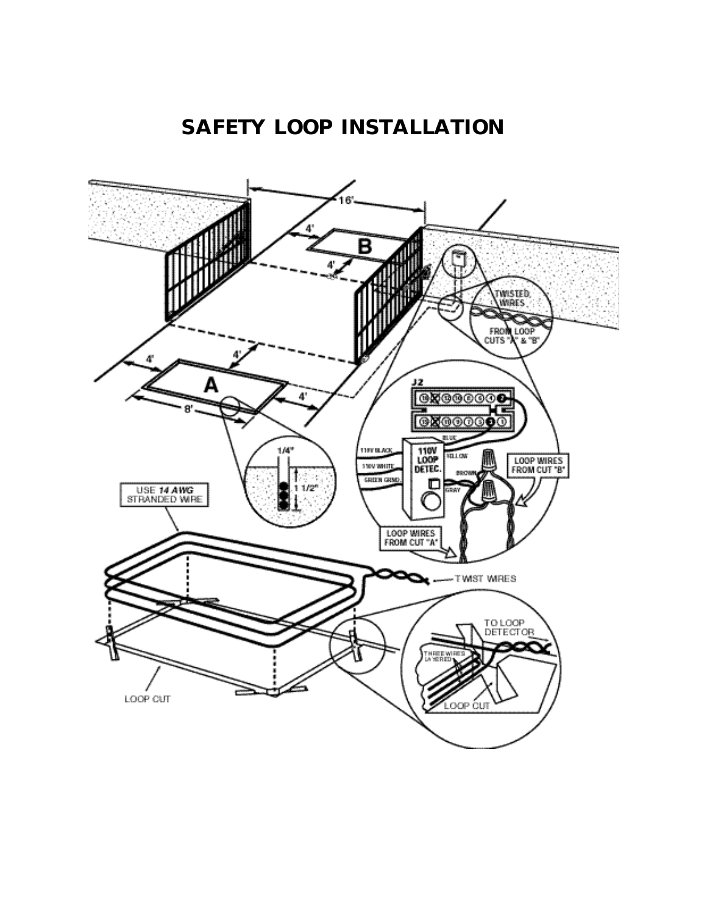# *SAFETY LOOP INSTALLATION*

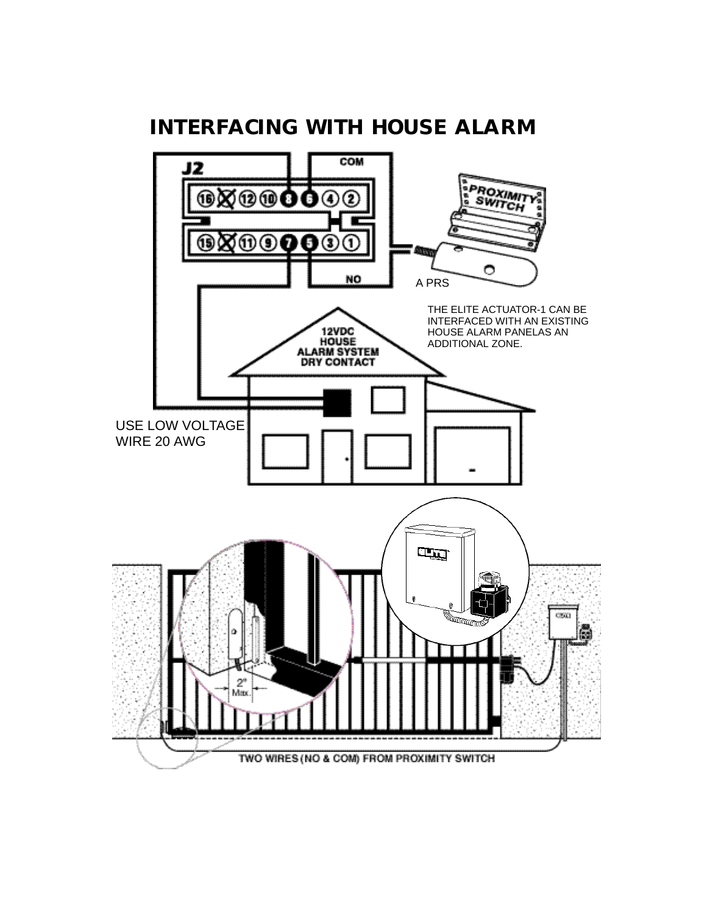

# *INTERFACING WITH HOUSE ALARM*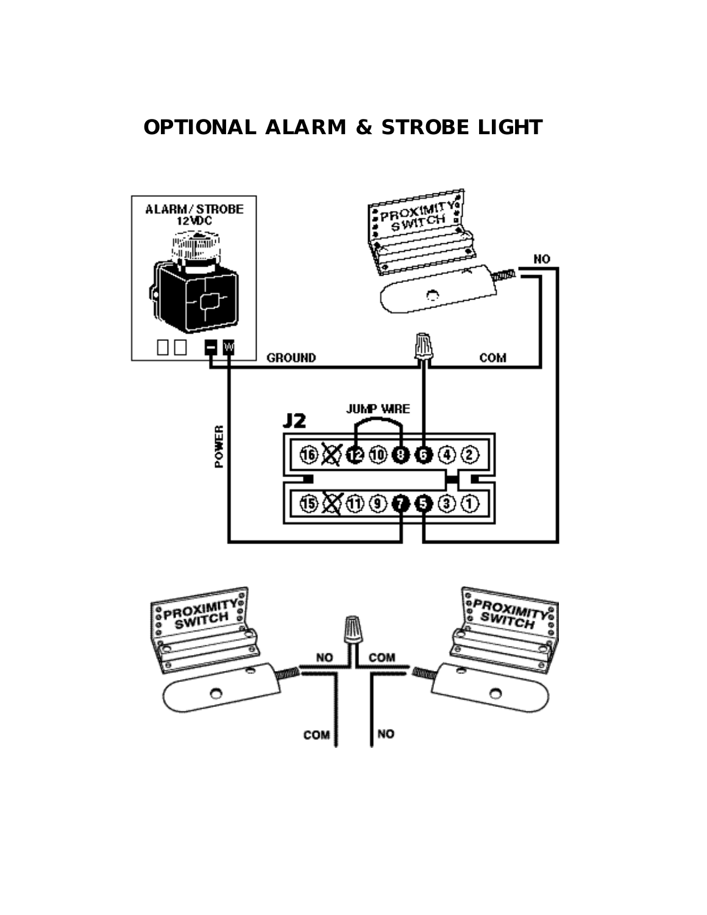# *OPTIONAL ALARM & STROBE LIGHT*



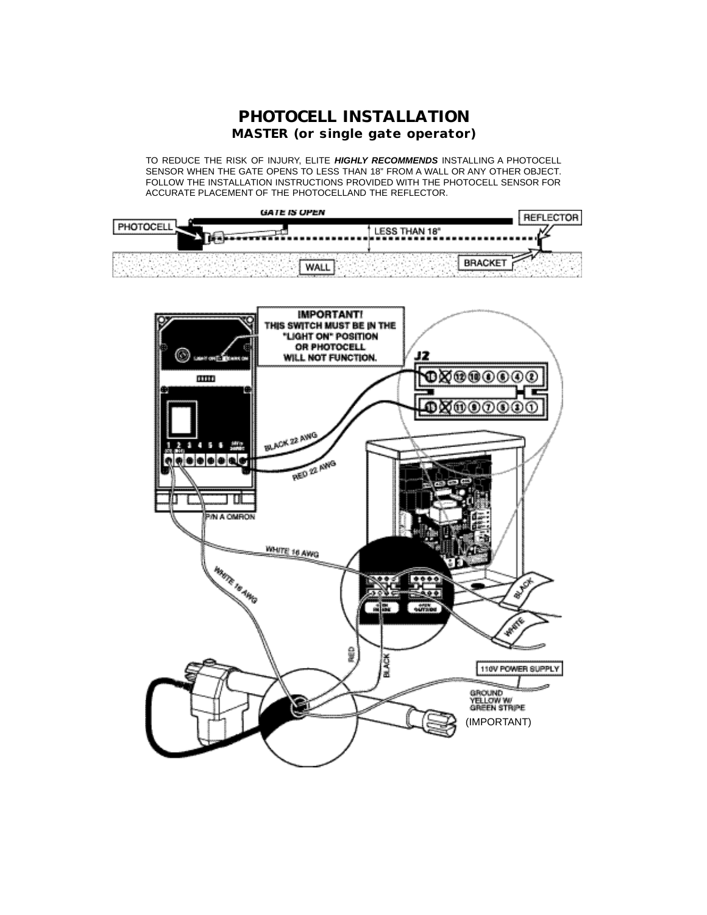

TO REDUCE THE RISK OF INJURY, ELITE *HIGHLY RECOMMENDS* INSTALLING A PHOTOCELL SENSOR WHEN THE GATE OPENS TO LESS THAN 18" FROM A WALL OR ANY OTHER OBJECT. FOLLOW THE INSTALLATION INSTRUCTIONS PROVIDED WITH THE PHOTOCELL SENSOR FOR ACCURATE PLACEMENT OF THE PHOTOCELLAND THE REFLECTOR.

| <b>GATE IS OPEN</b> | <b>REFLECTOR</b> |
|---------------------|------------------|
| PHOTOCELL           |                  |
|                     |                  |
|                     |                  |

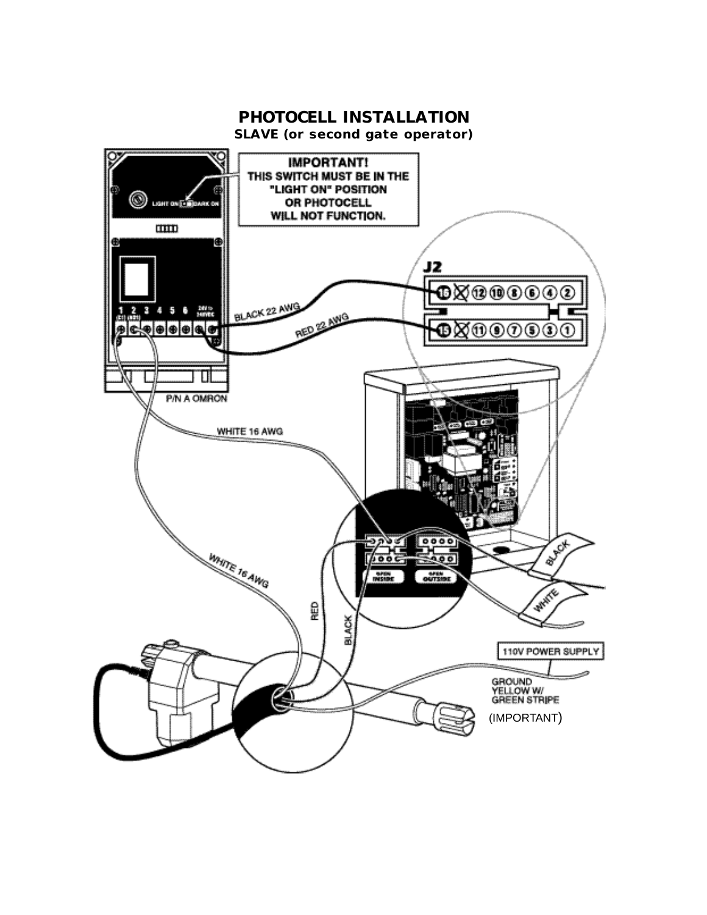#### *PHOTOCELL INSTALLATION*

*SLAVE (or second gate operator)*

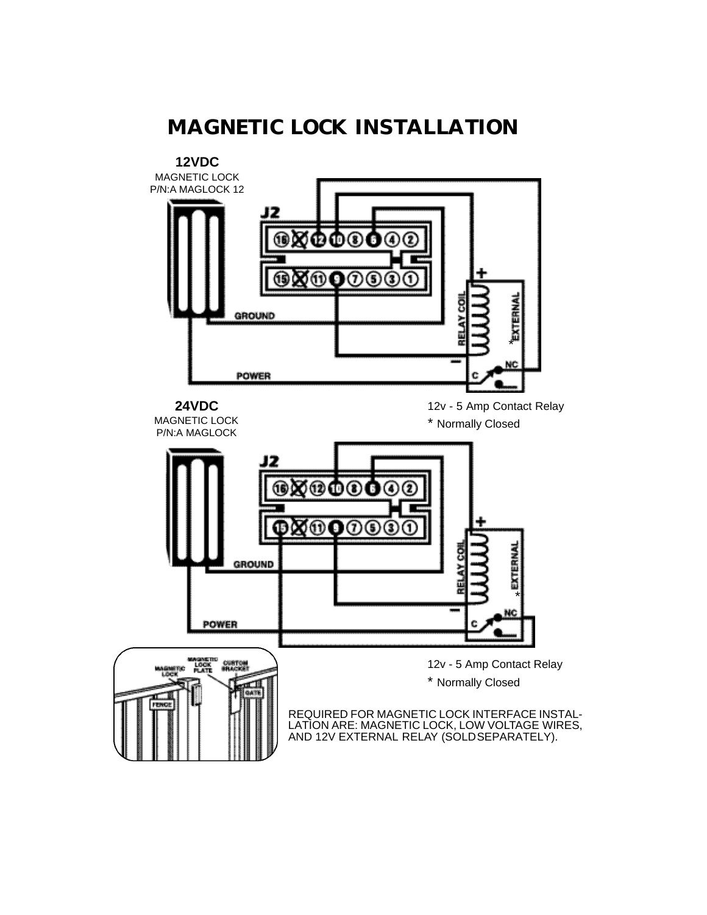# *MAGNETIC LOCK INSTALLATION*

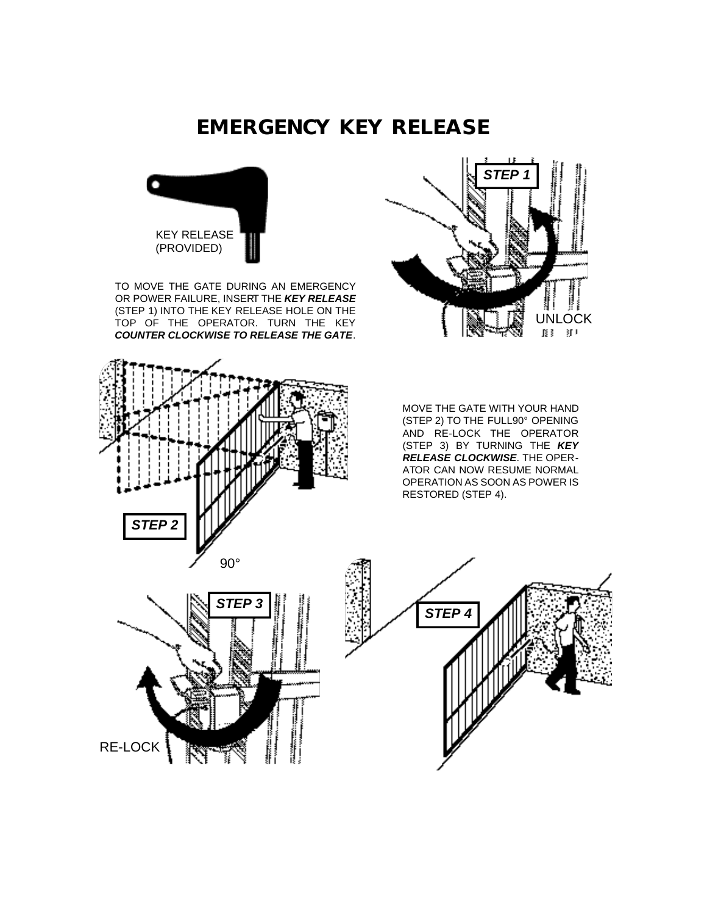## *EMERGENCY KEY RELEASE*



TO MOVE THE GATE DURING AN EMERGENCY OR POWER FAILURE, INSERT THE *KEY RELEASE* (STEP 1) INTO THE KEY RELEASE HOLE ON THE TOP OF THE OPERATOR. TURN THE KEY *COUNTER CLOCKWISE TO RELEASE THE GATE*.





MOVE THE GATE WITH YOUR HAND (STEP 2) TO THE FULL90° OPENING AND RE-LOCK THE OPERATOR (STEP 3) BY TURNING THE **KEY** *RELEASE CLOCKWISE*. THE OPER-ATOR CAN NOW RESUME NORMAL OPERATION AS SOON AS POWER IS RESTORED (STEP 4).



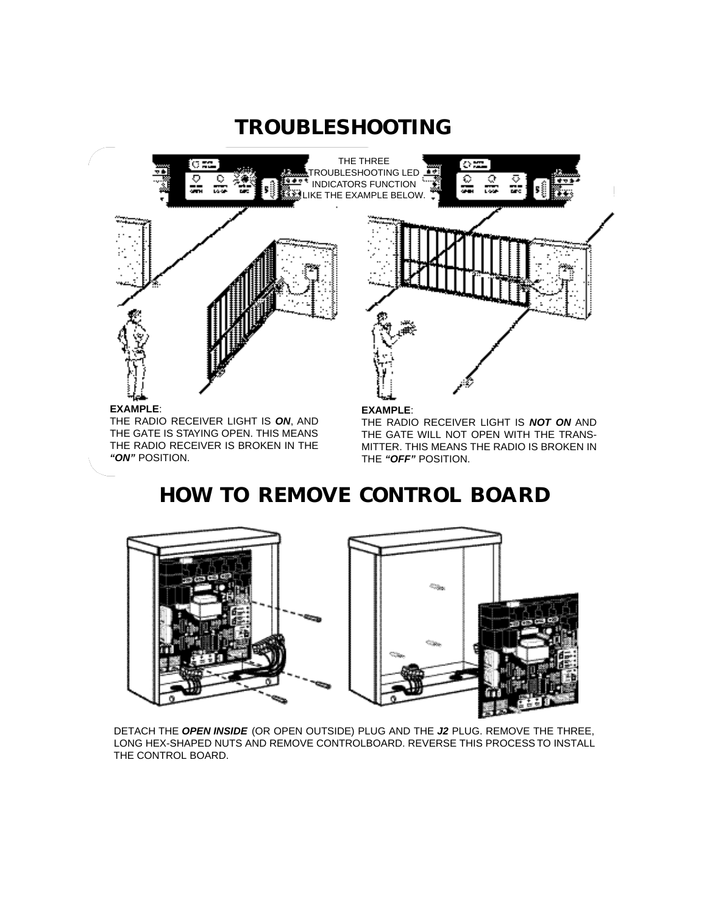# *TROUBLESHOOTING*



# *HOW TO REMOVE CONTROL BOARD*



DETACH THE *OPEN INSIDE* (OR OPEN OUTSIDE) PLUG AND THE *J2* PLUG. REMOVE THE THREE, LONG HEX-SHAPED NUTS AND REMOVE CONTROLBOARD. REVERSE THIS PROCESS TO INSTALL THE CONTROL BOARD.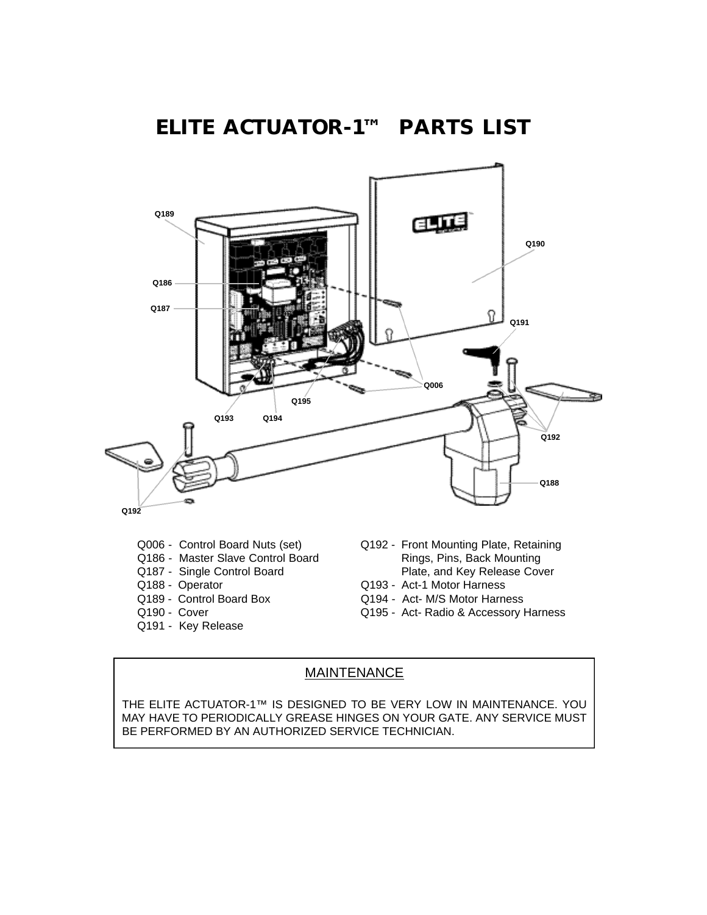#### *ELITE ACTUATOR-1™ PARTS LIST*



- Q006 Control Board Nuts (set)
- Q186 Master Slave Control Board
- Q187 Single Control Board
- Q188 Operator
- Q189 Control Board Box
- Q190 Cover
- Q191 Key Release
- Q192 Front Mounting Plate, Retaining Rings, Pins, Back Mounting Plate, and Key Release Cover
- Q193 Act-1 Motor Harness
- Q194 Act- M/S Motor Harness
- Q195 Act- Radio & Accessory Harness

#### MAINTENANCE

THE ELITE ACTUATOR-1™ IS DESIGNED TO BE VERY LOW IN MAINTENANCE. YOU MAY HAVE TO PERIODICALLY GREASE HINGES ON YOUR GATE. ANY SERVICE MUST BE PERFORMED BY AN AUTHORIZED SERVICE TECHNICIAN.